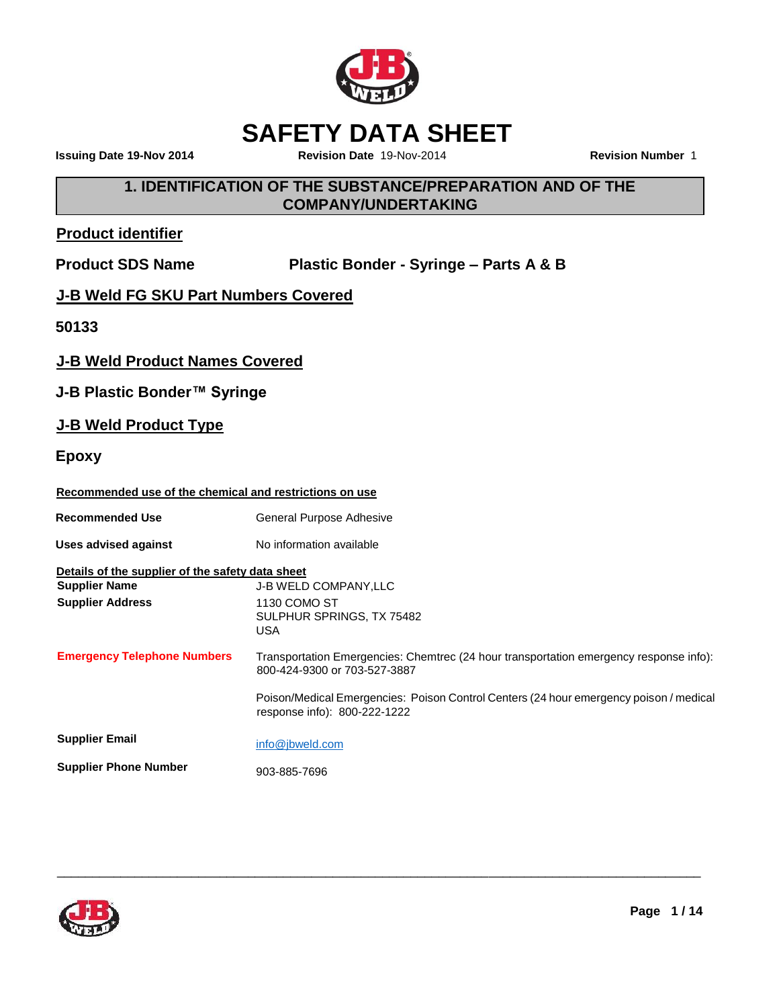

# **SAFETY DATA SHEET**

**Issuing Date 19-Nov 2014 Revision Date** 19-Nov-2014 **Revision Number** 1

# **1. IDENTIFICATION OF THE SUBSTANCE/PREPARATION AND OF THE COMPANY/UNDERTAKING**

# **Product identifier**

**Product SDS Name Plastic Bonder - Syringe – Parts A & B**

# **J-B Weld FG SKU Part Numbers Covered**

**50133**

### **J-B Weld Product Names Covered**

**J-B Plastic Bonder™ Syringe**

# **J-B Weld Product Type**

**Epoxy**

# **Recommended use of the chemical and restrictions on use**

| <b>Recommended Use</b>                           | General Purpose Adhesive                                                                                               |
|--------------------------------------------------|------------------------------------------------------------------------------------------------------------------------|
| Uses advised against                             | No information available                                                                                               |
| Details of the supplier of the safety data sheet |                                                                                                                        |
| <b>Supplier Name</b>                             | <b>J-B WELD COMPANY, LLC</b>                                                                                           |
| <b>Supplier Address</b>                          | 1130 COMO ST<br>SULPHUR SPRINGS, TX 75482<br>USA                                                                       |
| <b>Emergency Telephone Numbers</b>               | Transportation Emergencies: Chemtrec (24 hour transportation emergency response info):<br>800-424-9300 or 703-527-3887 |
|                                                  | Poison/Medical Emergencies: Poison Control Centers (24 hour emergency poison / medical<br>response info): 800-222-1222 |
| <b>Supplier Email</b>                            | info@jbweld.com                                                                                                        |
| <b>Supplier Phone Number</b>                     | 903-885-7696                                                                                                           |

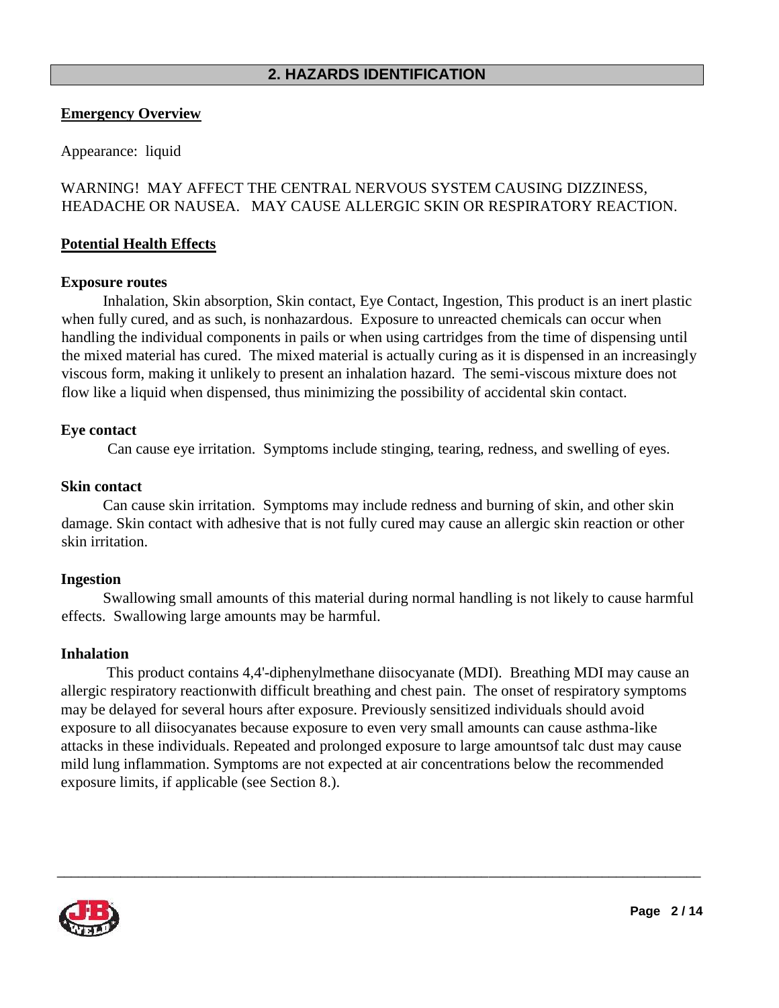### **2. HAZARDS IDENTIFICATION**

#### **Emergency Overview**

Appearance:liquid

### WARNING! MAY AFFECT THE CENTRAL NERVOUS SYSTEM CAUSING DIZZINESS, HEADACHE OR NAUSEA. MAY CAUSE ALLERGIC SKIN OR RESPIRATORY REACTION.

#### **Potential Health Effects**

#### **Exposure routes**

Inhalation, Skin absorption, Skin contact, Eye Contact, Ingestion, This product is an inert plastic when fully cured, and as such, is nonhazardous. Exposure to unreacted chemicals can occur when handling the individual components in pails or when using cartridges from the time of dispensing until the mixed material has cured. The mixed material is actually curing as it is dispensed in an increasingly viscous form, making it unlikely to present an inhalation hazard. The semi-viscous mixture does not flow like a liquid when dispensed, thus minimizing the possibility of accidental skin contact.

#### **Eye contact**

Can cause eye irritation. Symptoms include stinging, tearing, redness, and swelling of eyes.

#### **Skin contact**

Can cause skin irritation. Symptoms may include redness and burning of skin, and other skin damage. Skin contact with adhesive that is not fully cured may cause an allergic skin reaction or other skin irritation.

#### **Ingestion**

Swallowing small amounts of this material during normal handling is not likely to cause harmful effects. Swallowing large amounts may be harmful.

#### **Inhalation**

This product contains 4,4'-diphenylmethane diisocyanate (MDI). Breathing MDI may cause an allergic respiratory reactionwith difficult breathing and chest pain. The onset of respiratory symptoms may be delayed for several hours after exposure. Previously sensitized individuals should avoid exposure to all diisocyanates because exposure to even very small amounts can cause asthma-like attacks in these individuals. Repeated and prolonged exposure to large amountsof talc dust may cause mild lung inflammation. Symptoms are not expected at air concentrations below the recommended exposure limits, if applicable (see Section 8.).

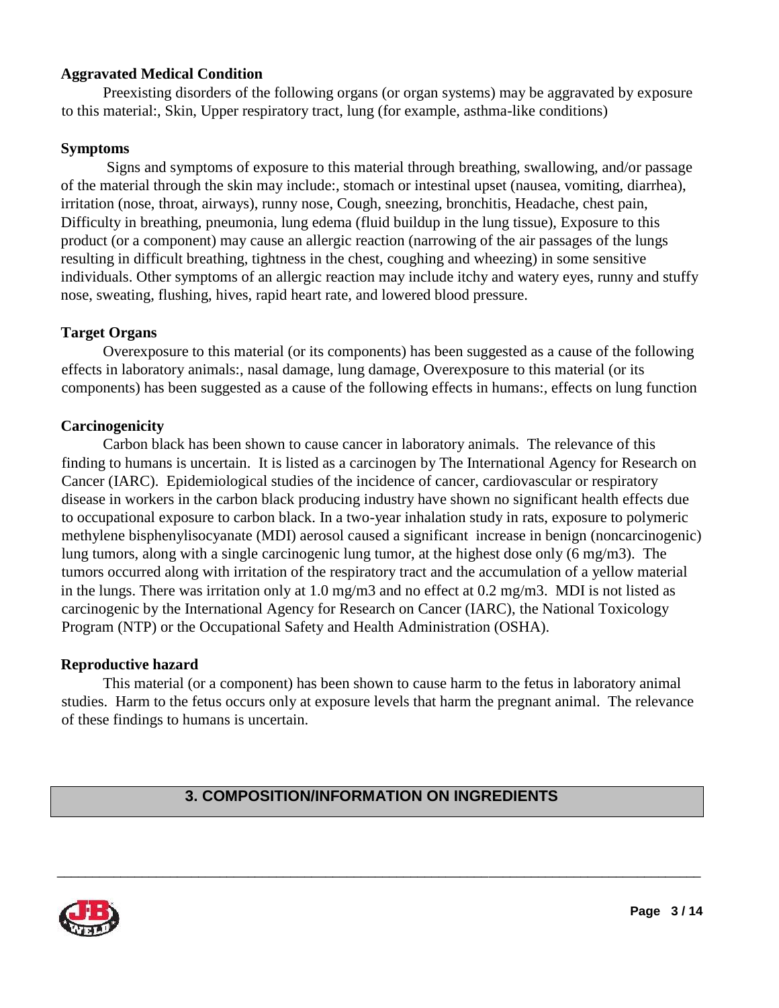### **Aggravated Medical Condition**

Preexisting disorders of the following organs (or organ systems) may be aggravated by exposure to this material:, Skin, Upper respiratory tract, lung (for example, asthma-like conditions)

#### **Symptoms**

Signs and symptoms of exposure to this material through breathing, swallowing, and/or passage of the material through the skin may include:, stomach or intestinal upset (nausea, vomiting, diarrhea), irritation (nose, throat, airways), runny nose, Cough, sneezing, bronchitis, Headache, chest pain, Difficulty in breathing, pneumonia, lung edema (fluid buildup in the lung tissue), Exposure to this product (or a component) may cause an allergic reaction (narrowing of the air passages of the lungs resulting in difficult breathing, tightness in the chest, coughing and wheezing) in some sensitive individuals. Other symptoms of an allergic reaction may include itchy and watery eyes, runny and stuffy nose, sweating, flushing, hives, rapid heart rate, and lowered blood pressure.

### **Target Organs**

Overexposure to this material (or its components) has been suggested as a cause of the following effects in laboratory animals:, nasal damage, lung damage, Overexposure to this material (or its components) has been suggested as a cause of the following effects in humans:, effects on lung function

### **Carcinogenicity**

Carbon black has been shown to cause cancer in laboratory animals. The relevance of this finding to humans is uncertain. It is listed as a carcinogen by The International Agency for Research on Cancer (IARC). Epidemiological studies of the incidence of cancer, cardiovascular or respiratory disease in workers in the carbon black producing industry have shown no significant health effects due to occupational exposure to carbon black. In a two-year inhalation study in rats, exposure to polymeric methylene bisphenylisocyanate (MDI) aerosol caused a significant increase in benign (noncarcinogenic) lung tumors, along with a single carcinogenic lung tumor, at the highest dose only (6 mg/m3). The tumors occurred along with irritation of the respiratory tract and the accumulation of a yellow material in the lungs. There was irritation only at 1.0 mg/m3 and no effect at 0.2 mg/m3. MDI is not listed as carcinogenic by the International Agency for Research on Cancer (IARC), the National Toxicology Program (NTP) or the Occupational Safety and Health Administration (OSHA).

#### **Reproductive hazard**

This material (or a component) has been shown to cause harm to the fetus in laboratory animal studies. Harm to the fetus occurs only at exposure levels that harm the pregnant animal. The relevance of these findings to humans is uncertain.

# **3. COMPOSITION/INFORMATION ON INGREDIENTS**

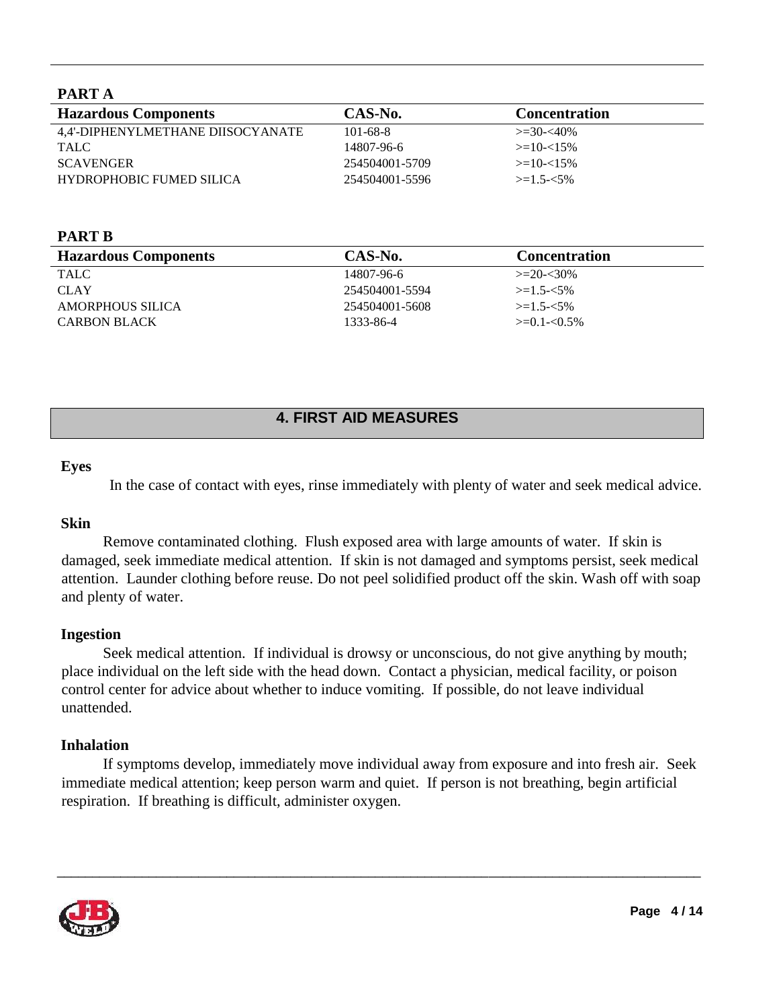# **PART A**

| <b>Hazardous Components</b>       | CAS-No.        | <b>Concentration</b> |
|-----------------------------------|----------------|----------------------|
| 4.4'-DIPHENYLMETHANE DIISOCYANATE | $101 - 68 - 8$ | $\geq 30 - 40\%$     |
| TALC                              | 14807-96-6     | $>=10-15\%$          |
| <b>SCAVENGER</b>                  | 254504001-5709 | $>=10-15\%$          |
| <b>HYDROPHOBIC FUMED SILICA</b>   | 254504001-5596 | $>=1.5 - 5\%$        |

#### **PART B**

| <b>Hazardous Components</b> | CAS-No.        | <b>Concentration</b> |
|-----------------------------|----------------|----------------------|
| TALC                        | 14807-96-6     | $>=20-30%$           |
| <b>CLAY</b>                 | 254504001-5594 | $\geq$ 1.5- $<$ 5%   |
| AMORPHOUS SILICA            | 254504001-5608 | $\geq$ 1.5- $<$ 5%   |
| <b>CARBON BLACK</b>         | 1333-86-4      | $\geq 0.1 - 0.5\%$   |

# **4. FIRST AID MEASURES**

#### **Eyes**

In the case of contact with eyes, rinse immediately with plenty of water and seek medical advice.

#### **Skin**

Remove contaminated clothing. Flush exposed area with large amounts of water. If skin is damaged, seek immediate medical attention. If skin is not damaged and symptoms persist, seek medical attention. Launder clothing before reuse. Do not peel solidified product off the skin. Wash off with soap and plenty of water.

#### **Ingestion**

Seek medical attention. If individual is drowsy or unconscious, do not give anything by mouth; place individual on the left side with the head down. Contact a physician, medical facility, or poison control center for advice about whether to induce vomiting. If possible, do not leave individual unattended.

#### **Inhalation**

If symptoms develop, immediately move individual away from exposure and into fresh air. Seek immediate medical attention; keep person warm and quiet. If person is not breathing, begin artificial respiration. If breathing is difficult, administer oxygen.

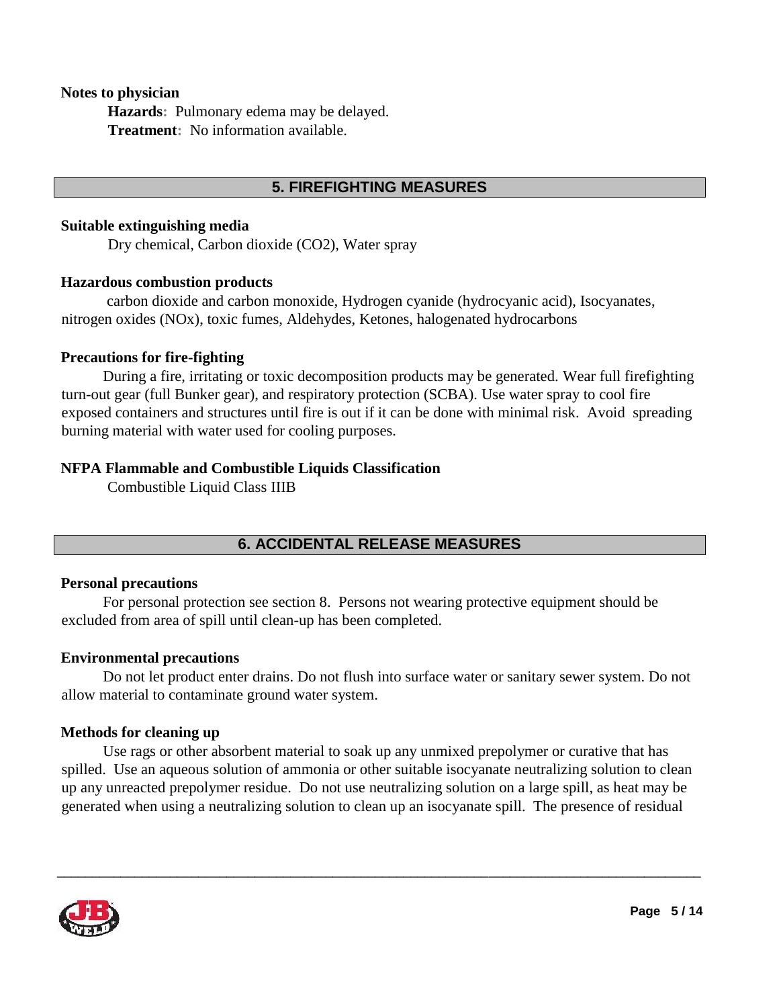#### **Notes to physician**

**Hazards:** Pulmonary edema may be delayed. **Treatment:** No information available.

### **5. FIREFIGHTING MEASURES**

#### **Suitable extinguishing media**

Dry chemical, Carbon dioxide (CO2), Water spray

#### **Hazardous combustion products**

carbon dioxide and carbon monoxide, Hydrogen cyanide (hydrocyanic acid), Isocyanates, nitrogen oxides (NOx), toxic fumes, Aldehydes, Ketones, halogenated hydrocarbons

#### **Precautions for fire-fighting**

During a fire, irritating or toxic decomposition products may be generated. Wear full firefighting turn-out gear (full Bunker gear), and respiratory protection (SCBA). Use water spray to cool fire exposed containers and structures until fire is out if it can be done with minimal risk. Avoid spreading burning material with water used for cooling purposes.

#### **NFPA Flammable and Combustible Liquids Classification**

Combustible Liquid Class IIIB

# **6. ACCIDENTAL RELEASE MEASURES**

#### **Personal precautions**

For personal protection see section 8.Persons not wearing protective equipment should be excluded from area of spill until clean-up has been completed.

#### **Environmental precautions**

Do not let product enter drains. Do not flush into surface water or sanitary sewer system. Do not allow material to contaminate ground water system.

#### **Methods for cleaning up**

Use rags or other absorbent material to soak up any unmixed prepolymer or curative that has spilled. Use an aqueous solution of ammonia or other suitable isocyanate neutralizing solution to clean up any unreacted prepolymer residue. Do not use neutralizing solution on a large spill, as heat may be generated when using a neutralizing solution to clean up an isocyanate spill. The presence of residual

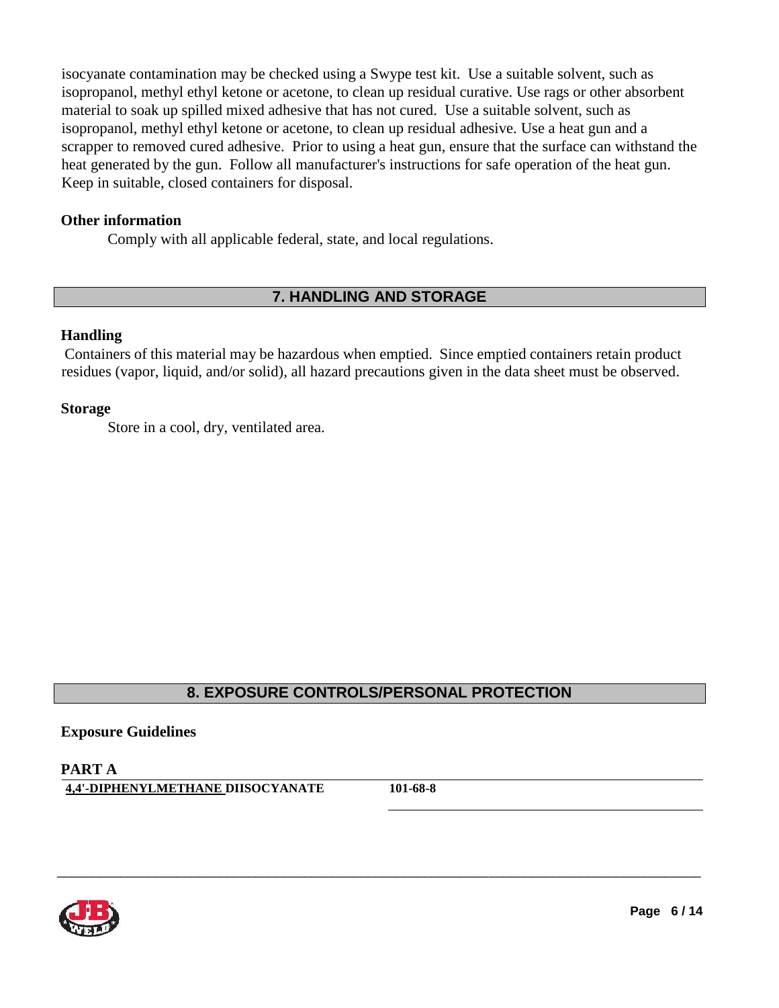isocyanate contamination may be checked using a Swype test kit. Use a suitable solvent, such as isopropanol, methyl ethyl ketone or acetone, to clean up residual curative. Use rags or other absorbent material to soak up spilled mixed adhesive that has not cured. Use a suitable solvent, such as isopropanol, methyl ethyl ketone or acetone, to clean up residual adhesive. Use a heat gun and a scrapper to removed cured adhesive. Prior to using a heat gun, ensure that the surface can withstand the heat generated by the gun. Follow all manufacturer's instructions for safe operation of the heat gun. Keep in suitable, closed containers for disposal.

#### **Other information**

Comply with all applicable federal, state, and local regulations.

# **7. HANDLING AND STORAGE**

#### **Handling**

Containers of this material may be hazardous when emptied. Since emptied containers retain product residues (vapor, liquid, and/or solid), all hazard precautions given in the data sheet must be observed.

#### **Storage**

Store in a cool, dry, ventilated area.

# **8. EXPOSURE CONTROLS/PERSONAL PROTECTION**

\_\_\_\_\_\_\_\_\_\_\_\_\_\_\_\_\_\_\_\_\_\_\_\_\_\_\_\_\_\_\_\_\_\_\_\_\_\_\_\_\_\_\_\_\_\_\_\_\_\_\_\_\_\_\_\_\_\_\_\_\_\_\_\_\_\_\_\_\_\_\_\_\_\_\_\_\_\_\_\_\_\_\_\_\_\_\_\_\_\_\_

#### **Exposure Guidelines**

**PART A 4,4'-DIPHENYLMETHANE DIISOCYANATE 101-68-8** 

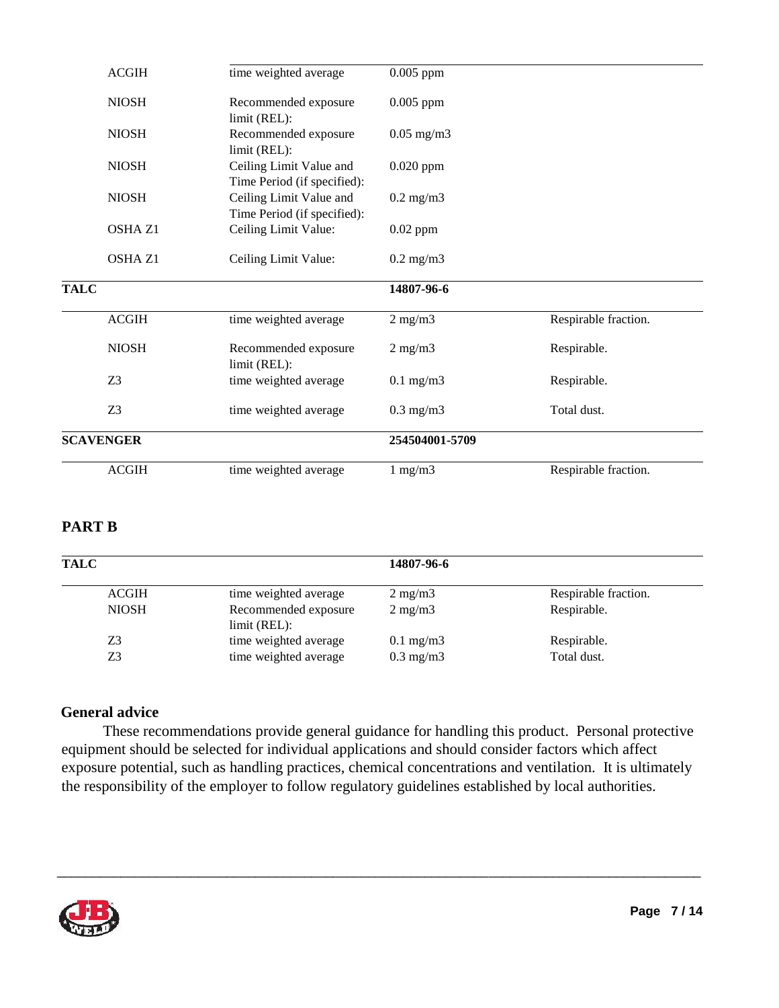| <b>ACGIH</b>     | time weighted average                                  | $0.005$ ppm          |                      |
|------------------|--------------------------------------------------------|----------------------|----------------------|
| <b>NIOSH</b>     | Recommended exposure<br>limit (REL):                   | $0.005$ ppm          |                      |
| <b>NIOSH</b>     | Recommended exposure<br>limit (REL):                   | $0.05$ mg/m $3$      |                      |
| <b>NIOSH</b>     | Ceiling Limit Value and<br>Time Period (if specified): | $0.020$ ppm          |                      |
| <b>NIOSH</b>     | Ceiling Limit Value and<br>Time Period (if specified): | $0.2 \text{ mg/m}$ 3 |                      |
| OSHA Z1          | Ceiling Limit Value:                                   | $0.02$ ppm           |                      |
| OSHA Z1          | Ceiling Limit Value:                                   | $0.2 \text{ mg/m}$   |                      |
| <b>TALC</b>      |                                                        | 14807-96-6           |                      |
| <b>ACGIH</b>     | time weighted average                                  | $2$ mg/m $3$         | Respirable fraction. |
| <b>NIOSH</b>     | Recommended exposure<br>limit (REL):                   | $2$ mg/m $3$         | Respirable.          |
| Z <sub>3</sub>   | time weighted average                                  | $0.1$ mg/m $3$       | Respirable.          |
| Z <sub>3</sub>   | time weighted average                                  | $0.3$ mg/m $3$       | Total dust.          |
| <b>SCAVENGER</b> |                                                        | 254504001-5709       |                      |
| <b>ACGIH</b>     | time weighted average                                  | $1$ mg/m $3$         | Respirable fraction. |

# **PART B**

| <b>TALC</b>  |                                      | 14807-96-6         |                      |
|--------------|--------------------------------------|--------------------|----------------------|
| <b>ACGIH</b> | time weighted average                | $2 \text{ mg/m}$   | Respirable fraction. |
| <b>NIOSH</b> | Recommended exposure<br>limit (REL): | $2 \text{ mg/m}$   | Respirable.          |
| Z3           | time weighted average                | $0.1 \text{ mg/m}$ | Respirable.          |
| Z3           | time weighted average                | $0.3 \text{ mg/m}$ | Total dust.          |

# **General advice**

These recommendations provide general guidance for handling this product. Personal protective equipment should be selected for individual applications and should consider factors which affect exposure potential, such as handling practices, chemical concentrations and ventilation. It is ultimately the responsibility of the employer to follow regulatory guidelines established by local authorities.

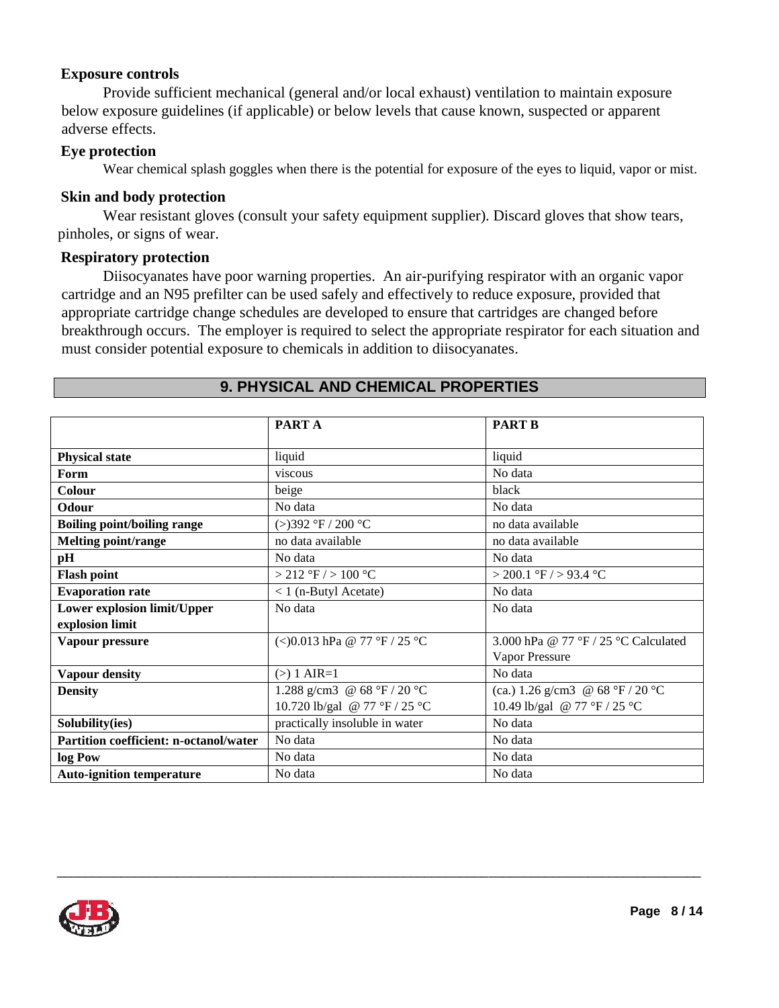#### **Exposure controls**

Provide sufficient mechanical (general and/or local exhaust) ventilation to maintain exposure below exposure guidelines (if applicable) or below levels that cause known, suspected or apparent adverse effects.

#### **Eye protection**

Wear chemical splash goggles when there is the potential for exposure of the eyes to liquid, vapor or mist.

#### **Skin and body protection**

Wear resistant gloves (consult your safety equipment supplier). Discard gloves that show tears, pinholes, or signs of wear.

#### **Respiratory protection**

Diisocyanates have poor warning properties. An air-purifying respirator with an organic vapor cartridge and an N95 prefilter can be used safely and effectively to reduce exposure, provided that appropriate cartridge change schedules are developed to ensure that cartridges are changed before breakthrough occurs. The employer is required to select the appropriate respirator for each situation and must consider potential exposure to chemicals in addition to diisocyanates.

|                                        | <b>PART A</b>                  | <b>PART B</b>                        |  |
|----------------------------------------|--------------------------------|--------------------------------------|--|
| <b>Physical state</b>                  | liquid                         | liquid                               |  |
| Form                                   | viscous                        | No data                              |  |
| Colour                                 | beige                          | black                                |  |
| Odour                                  | No data                        | No data                              |  |
| <b>Boiling point/boiling range</b>     | (>)392 °F / 200 °C             | no data available                    |  |
| <b>Melting point/range</b>             | no data available              | no data available                    |  |
| pН                                     | No data                        | No data                              |  |
| <b>Flash point</b>                     | $>$ 212 °F / $>$ 100 °C        | > 200.1 °F / > 93.4 °C               |  |
| <b>Evaporation rate</b>                | $< 1$ (n-Butyl Acetate)        | No data                              |  |
| Lower explosion limit/Upper            | No data                        | No data                              |  |
| explosion limit                        |                                |                                      |  |
| Vapour pressure                        | (<)0.013 hPa @ 77 °F / 25 °C   | 3.000 hPa @ 77 °F / 25 °C Calculated |  |
|                                        |                                | Vapor Pressure                       |  |
| <b>Vapour density</b>                  | $(>) 1 AIR = 1$                | No data                              |  |
| <b>Density</b>                         | 1.288 g/cm3 @ 68 °F / 20 °C    | (ca.) 1.26 g/cm3 @ $68 °F / 20 °C$   |  |
|                                        | 10.720 lb/gal @ 77 °F / 25 °C  | 10.49 lb/gal @ 77 °F / 25 °C         |  |
| Solubility(ies)                        | practically insoluble in water | No data                              |  |
| Partition coefficient: n-octanol/water | No data                        | No data                              |  |
| log Pow                                | No data                        | No data                              |  |
| <b>Auto-ignition temperature</b>       | No data                        | No data                              |  |

\_\_\_\_\_\_\_\_\_\_\_\_\_\_\_\_\_\_\_\_\_\_\_\_\_\_\_\_\_\_\_\_\_\_\_\_\_\_\_\_\_\_\_\_\_\_\_\_\_\_\_\_\_\_\_\_\_\_\_\_\_\_\_\_\_\_\_\_\_\_\_\_\_\_\_\_\_\_\_\_\_\_\_\_\_\_\_\_\_\_\_

#### **9. PHYSICAL AND CHEMICAL PROPERTIES**

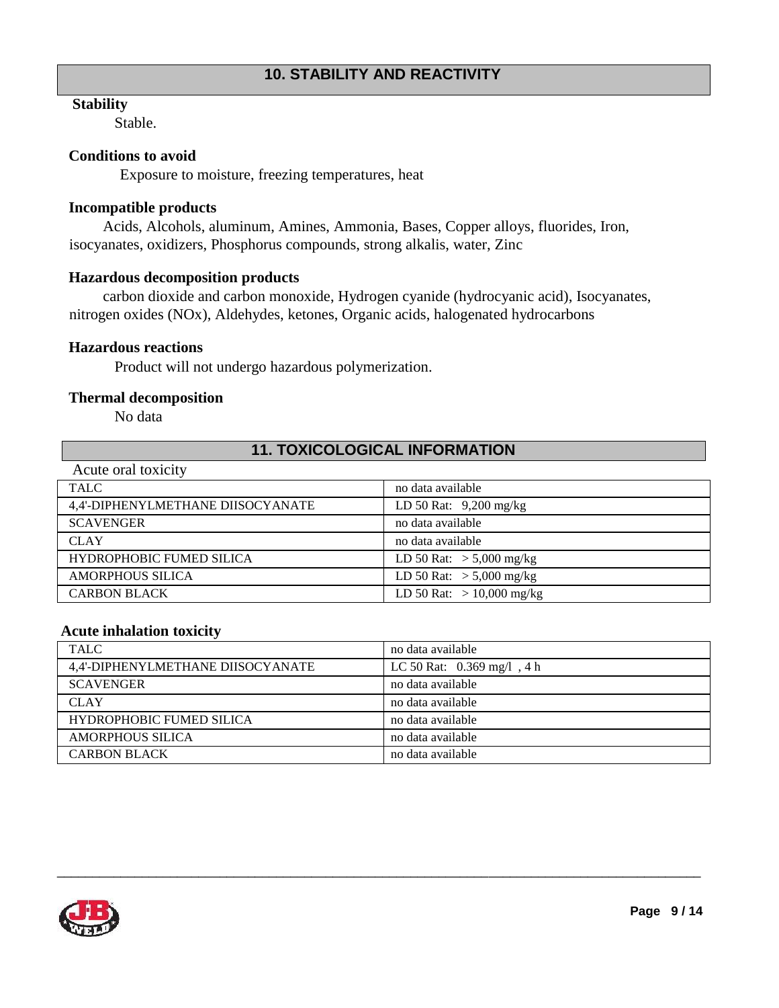# **10. STABILITY AND REACTIVITY**

#### **Stability**

Stable.

#### **Conditions to avoid**

Exposure to moisture, freezing temperatures, heat

#### **Incompatible products**

Acids, Alcohols, aluminum, Amines, Ammonia, Bases, Copper alloys, fluorides, Iron, isocyanates, oxidizers, Phosphorus compounds, strong alkalis, water, Zinc

#### **Hazardous decomposition products**

carbon dioxide and carbon monoxide, Hydrogen cyanide (hydrocyanic acid), Isocyanates, nitrogen oxides (NOx), Aldehydes, ketones, Organic acids, halogenated hydrocarbons

#### **Hazardous reactions**

Product will not undergo hazardous polymerization.

#### **Thermal decomposition**

No data

#### **11. TOXICOLOGICAL INFORMATION**

| Acute oral toxicity               |                             |
|-----------------------------------|-----------------------------|
| <b>TALC</b>                       | no data available           |
| 4.4'-DIPHENYLMETHANE DIISOCYANATE | LD 50 Rat: 9,200 mg/kg      |
| <b>SCAVENGER</b>                  | no data available           |
| <b>CLAY</b>                       | no data available           |
| HYDROPHOBIC FUMED SILICA          | LD 50 Rat: $> 5,000$ mg/kg  |
| <b>AMORPHOUS SILICA</b>           | LD 50 Rat: $> 5,000$ mg/kg  |
| <b>CARBON BLACK</b>               | LD 50 Rat: $> 10,000$ mg/kg |

#### **Acute inhalation toxicity**

| <b>TALC</b>                       | no data available            |
|-----------------------------------|------------------------------|
| 4,4'-DIPHENYLMETHANE DIISOCYANATE | LC 50 Rat: $0.369$ mg/l, 4 h |
| <b>SCAVENGER</b>                  | no data available            |
| <b>CLAY</b>                       | no data available            |
| <b>HYDROPHOBIC FUMED SILICA</b>   | no data available            |
| <b>AMORPHOUS SILICA</b>           | no data available            |
| <b>CARBON BLACK</b>               | no data available            |

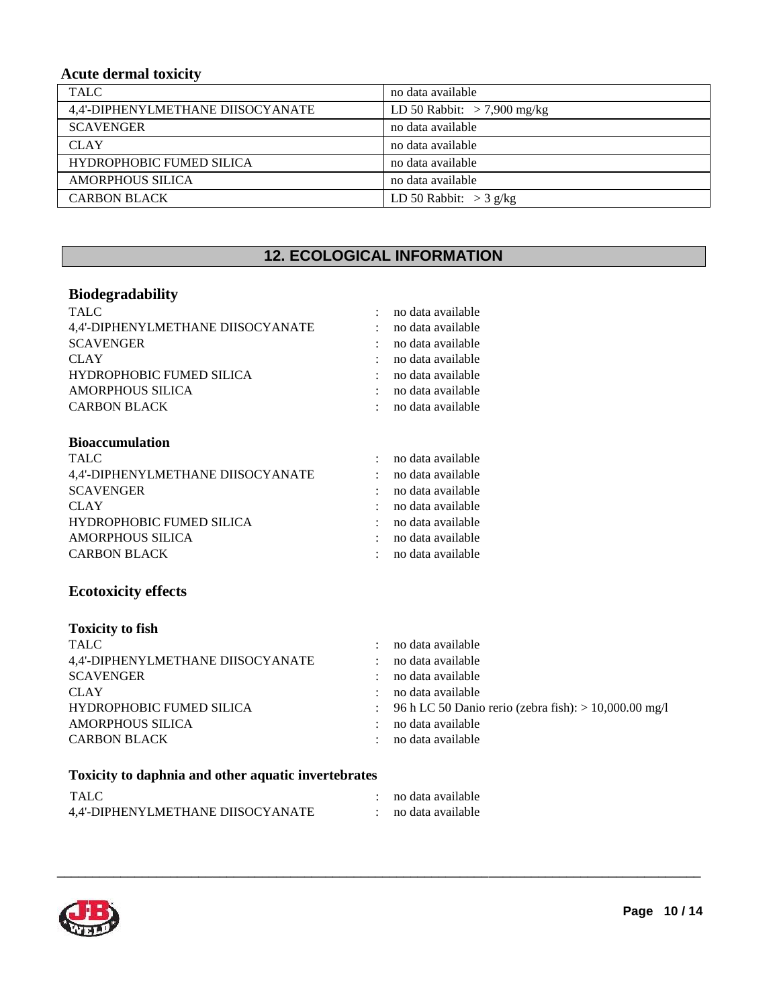# **Acute dermal toxicity**

| <b>TALC</b>                       | no data available             |
|-----------------------------------|-------------------------------|
| 4,4'-DIPHENYLMETHANE DIISOCYANATE | LD 50 Rabbit: $> 7,900$ mg/kg |
| <b>SCAVENGER</b>                  | no data available             |
| <b>CLAY</b>                       | no data available             |
| <b>HYDROPHOBIC FUMED SILICA</b>   | no data available             |
| <b>AMORPHOUS SILICA</b>           | no data available             |
| <b>CARBON BLACK</b>               | LD 50 Rabbit: $>$ 3 g/kg      |

# **12. ECOLOGICAL INFORMATION**

#### **Biodegradability**

| <b>TALC</b>                                         | no data available                                       |
|-----------------------------------------------------|---------------------------------------------------------|
| 4,4'-DIPHENYLMETHANE DIISOCYANATE                   | no data available                                       |
| <b>SCAVENGER</b>                                    | no data available                                       |
| <b>CLAY</b>                                         | no data available                                       |
| HYDROPHOBIC FUMED SILICA                            | no data available                                       |
| <b>AMORPHOUS SILICA</b>                             | no data available                                       |
| <b>CARBON BLACK</b>                                 | no data available                                       |
| <b>Bioaccumulation</b>                              |                                                         |
| <b>TALC</b>                                         | no data available                                       |
| 4,4'-DIPHENYLMETHANE DIISOCYANATE                   | no data available                                       |
| <b>SCAVENGER</b>                                    | no data available                                       |
| <b>CLAY</b>                                         | no data available                                       |
| HYDROPHOBIC FUMED SILICA                            | no data available                                       |
| <b>AMORPHOUS SILICA</b>                             | no data available                                       |
| <b>CARBON BLACK</b>                                 | no data available                                       |
| <b>Ecotoxicity effects</b>                          |                                                         |
| <b>Toxicity to fish</b>                             |                                                         |
| <b>TALC</b>                                         | no data available                                       |
| 4,4'-DIPHENYLMETHANE DIISOCYANATE                   | no data available                                       |
| <b>SCAVENGER</b>                                    | no data available                                       |
| <b>CLAY</b>                                         | no data available                                       |
| <b>HYDROPHOBIC FUMED SILICA</b>                     | 96 h LC 50 Danio rerio (zebra fish): $> 10,000.00$ mg/l |
| <b>AMORPHOUS SILICA</b>                             | no data available                                       |
| <b>CARBON BLACK</b>                                 | no data available                                       |
| Toxicity to daphnia and other aquatic invertebrates |                                                         |
| <b>TALC</b>                                         | no data available                                       |
| 4.4'-DIPHENYLMETHANE DIISOCYANATE                   | no data available                                       |

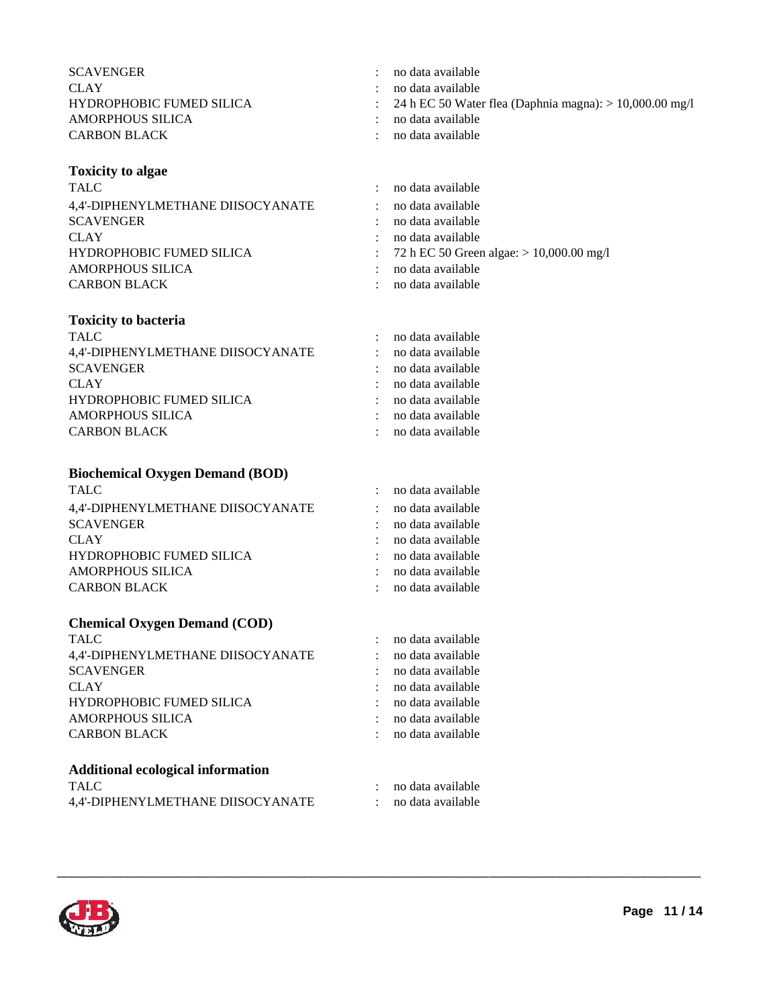| <b>SCAVENGER</b>                |
|---------------------------------|
| CLAY                            |
| <b>HYDROPHOBIC FUMED SILICA</b> |
| AMORPHOUS SILICA                |
| <b>CARBON BLACK</b>             |

#### **Toxicity to algae**

TALC : no data available : no data available 4,4'-DIPHENYLMETHANE DIISOCYANATE : no data available SCAVENGER : no data available CLAY : no data available HYDROPHOBIC FUMED SILICA : 72 h EC 50 Green algae: > 10,000.00 mg/l AMORPHOUS SILICA : no data available CARBON BLACK

#### **Toxicity to bacteria**

| <b>TALC</b>                       |        | : no data available |
|-----------------------------------|--------|---------------------|
| 4,4'-DIPHENYLMETHANE DIISOCYANATE | $\sim$ | no data available   |
| <b>SCAVENGER</b>                  |        | no data available   |
| <b>CLAY</b>                       |        | : no data available |
| <b>HYDROPHOBIC FUMED SILICA</b>   |        | : no data available |
| AMORPHOUS SILICA                  |        | : no data available |
| <b>CARBON BLACK</b>               |        | : no data available |

#### **Biochemical Oxygen Demand (BOD)**

| <b>TALC</b>                       | : no data available |
|-----------------------------------|---------------------|
| 4,4'-DIPHENYLMETHANE DIISOCYANATE | : no data available |
| <b>SCAVENGER</b>                  | : no data available |
| <b>CLAY</b>                       | : no data available |
| <b>HYDROPHOBIC FUMED SILICA</b>   | : no data available |
| AMORPHOUS SILICA                  | : no data available |
| <b>CARBON BLACK</b>               | : no data available |

#### **Chemical Oxygen Demand (COD)**

| <b>TALC</b>                              | no data available |
|------------------------------------------|-------------------|
| 4,4'-DIPHENYLMETHANE DIISOCYANATE        | no data available |
| <b>SCAVENGER</b>                         | no data available |
| <b>CLAY</b>                              | no data available |
| HYDROPHOBIC FUMED SILICA                 | no data available |
| <b>AMORPHOUS SILICA</b>                  | no data available |
| <b>CARBON BLACK</b>                      | no data available |
| <b>Additional ecological information</b> |                   |
| TALC                                     | no data available |
| 4,4'-DIPHENYLMETHANE DIISOCYANATE        | no data available |

\_\_\_\_\_\_\_\_\_\_\_\_\_\_\_\_\_\_\_\_\_\_\_\_\_\_\_\_\_\_\_\_\_\_\_\_\_\_\_\_\_\_\_\_\_\_\_\_\_\_\_\_\_\_\_\_\_\_\_\_\_\_\_\_\_\_\_\_\_\_\_\_\_\_\_\_\_\_\_\_\_\_\_\_\_\_\_\_\_\_\_

**Page 11 / 14**

- : no data available
- : no data available
- : 24 h EC 50 Water flea (Daphnia magna):  $> 10,000.00$  mg/l
- : no data available
- : no data available
- : no data available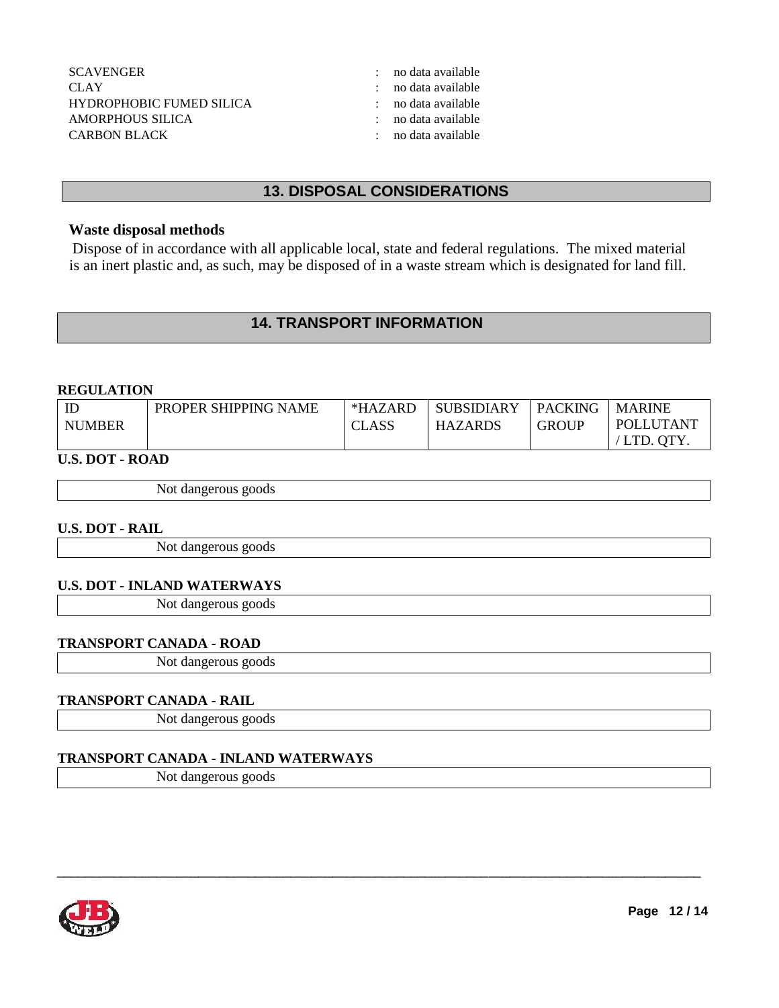| : no data available   |
|-----------------------|
| : no data available   |
| $:$ no data available |
| $:$ no data available |
| $:$ no data available |
|                       |

# **13. DISPOSAL CONSIDERATIONS**

#### **Waste disposal methods**

Dispose of in accordance with all applicable local, state and federal regulations. The mixed material is an inert plastic and, as such, may be disposed of in a waste stream which is designated for land fill.

### **14. TRANSPORT INFORMATION**

#### **REGULATION**

| IE            | PROPER SHIPPING NAME | *HAZARD | <b>SUBSIDIARY</b> | <b>PACKING</b> | <b>MARINE</b> |
|---------------|----------------------|---------|-------------------|----------------|---------------|
| <b>NUMBER</b> |                      | CLASS   | <b>HAZARDS</b>    | GROUP          | POLLUTANT     |
|               |                      |         |                   |                | LTD. OTY.     |

\_\_\_\_\_\_\_\_\_\_\_\_\_\_\_\_\_\_\_\_\_\_\_\_\_\_\_\_\_\_\_\_\_\_\_\_\_\_\_\_\_\_\_\_\_\_\_\_\_\_\_\_\_\_\_\_\_\_\_\_\_\_\_\_\_\_\_\_\_\_\_\_\_\_\_\_\_\_\_\_\_\_\_\_\_\_\_\_\_\_\_

#### **U.S. DOT - ROAD**

| Not dangerous goods |  |
|---------------------|--|
|---------------------|--|

#### **U.S. DOT - RAIL**

Not dangerous goods

#### **U.S. DOT - INLAND WATERWAYS**

Not dangerous goods

#### **TRANSPORT CANADA - ROAD**

Not dangerous goods

#### **TRANSPORT CANADA - RAIL**

Not dangerous goods

#### **TRANSPORT CANADA - INLAND WATERWAYS**

Not dangerous goods

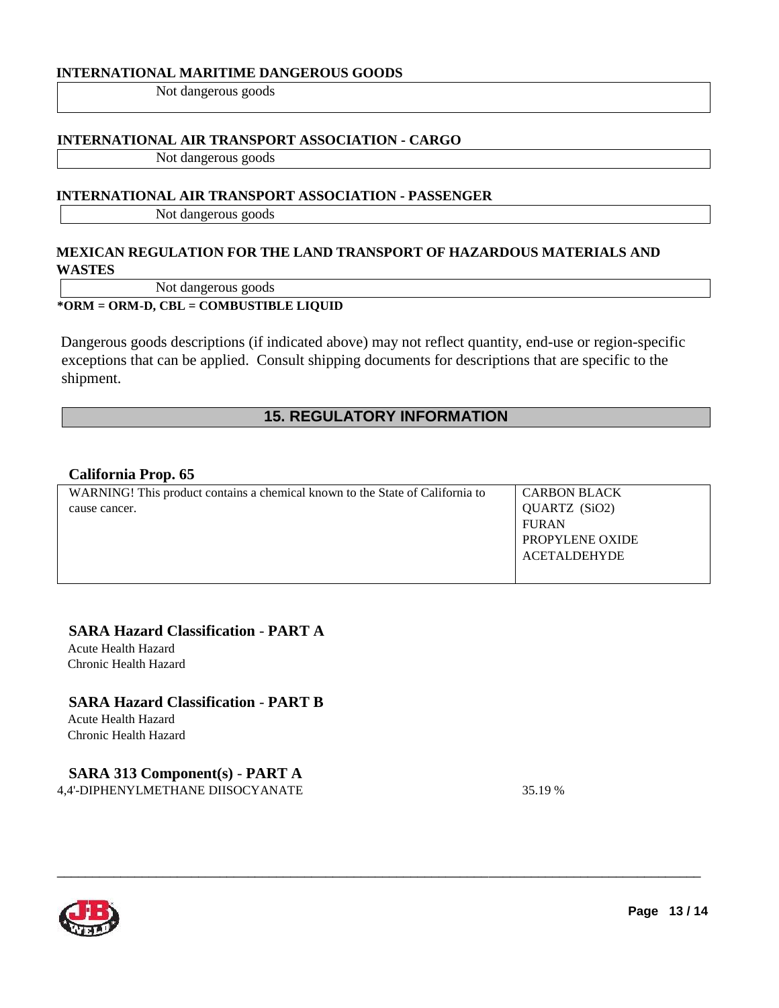#### **INTERNATIONAL MARITIME DANGEROUS GOODS**

Not dangerous goods

#### **INTERNATIONAL AIR TRANSPORT ASSOCIATION - CARGO**

Not dangerous goods

#### **INTERNATIONAL AIR TRANSPORT ASSOCIATION - PASSENGER**

Not dangerous goods

### **MEXICAN REGULATION FOR THE LAND TRANSPORT OF HAZARDOUS MATERIALS AND WASTES**

Not dangerous goods

#### **\*ORM = ORM-D, CBL = COMBUSTIBLE LIQUID**

Dangerous goods descriptions (if indicated above) may not reflect quantity, end-use or region-specific exceptions that can be applied. Consult shipping documents for descriptions that are specific to the shipment.

# **15. REGULATORY INFORMATION**

#### **California Prop. 65**

| <b>CARBON BLACK</b>    |
|------------------------|
| QUARTZ (SiO2)          |
|                        |
|                        |
| <b>PROPYLENE OXIDE</b> |
| <b>ACETALDEHYDE</b>    |
|                        |
|                        |

\_\_\_\_\_\_\_\_\_\_\_\_\_\_\_\_\_\_\_\_\_\_\_\_\_\_\_\_\_\_\_\_\_\_\_\_\_\_\_\_\_\_\_\_\_\_\_\_\_\_\_\_\_\_\_\_\_\_\_\_\_\_\_\_\_\_\_\_\_\_\_\_\_\_\_\_\_\_\_\_\_\_\_\_\_\_\_\_\_\_\_

#### **SARA Hazard Classification** - **PART A**

Acute Health Hazard Chronic Health Hazard

# **SARA Hazard Classification** - **PART B**

Acute Health Hazard Chronic Health Hazard

# **SARA 313 Component(s)** - **PART A**

4,4'-DIPHENYLMETHANE DIISOCYANATE 35.19 %